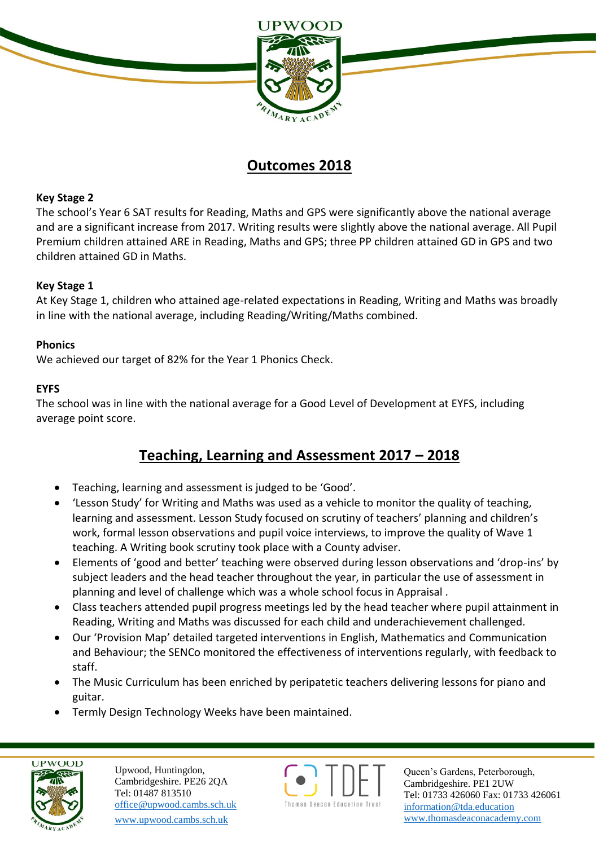

## **Outcomes 2018**

### **Key Stage 2**

The school's Year 6 SAT results for Reading, Maths and GPS were significantly above the national average and are a significant increase from 2017. Writing results were slightly above the national average. All Pupil Premium children attained ARE in Reading, Maths and GPS; three PP children attained GD in GPS and two children attained GD in Maths.

### **Key Stage 1**

At Key Stage 1, children who attained age-related expectations in Reading, Writing and Maths was broadly in line with the national average, including Reading/Writing/Maths combined.

### **Phonics**

We achieved our target of 82% for the Year 1 Phonics Check.

#### **EYFS**

The school was in line with the national average for a Good Level of Development at EYFS, including average point score.

## **Teaching, Learning and Assessment 2017 – 2018**

- Teaching, learning and assessment is judged to be 'Good'.
- 'Lesson Study' for Writing and Maths was used as a vehicle to monitor the quality of teaching, learning and assessment. Lesson Study focused on scrutiny of teachers' planning and children's work, formal lesson observations and pupil voice interviews, to improve the quality of Wave 1 teaching. A Writing book scrutiny took place with a County adviser.
- Elements of 'good and better' teaching were observed during lesson observations and 'drop-ins' by subject leaders and the head teacher throughout the year, in particular the use of assessment in planning and level of challenge which was a whole school focus in Appraisal .
- Class teachers attended pupil progress meetings led by the head teacher where pupil attainment in Reading, Writing and Maths was discussed for each child and underachievement challenged.
- Our 'Provision Map' detailed targeted interventions in English, Mathematics and Communication and Behaviour; the SENCo monitored the effectiveness of interventions regularly, with feedback to staff.
- The Music Curriculum has been enriched by peripatetic teachers delivering lessons for piano and guitar.
- Termly Design Technology Weeks have been maintained.



Upwood, Huntingdon, Cambridgeshire. PE26 2QA Tel: 01487 813510 office@upwood.cambs.sch.uk [www.upwood.cambs.sch.uk](http://www.upwood.cambs.sch.uk/)



Queen's Gardens, Peterborough, Cambridgeshire. PE1 2UW Tel: 01733 426060 Fax: 01733 426061 [information@tda.education](mailto:information@tda.education) [www.thomasdeaconacademy.com](http://www.thomasdeaconacademy.com/)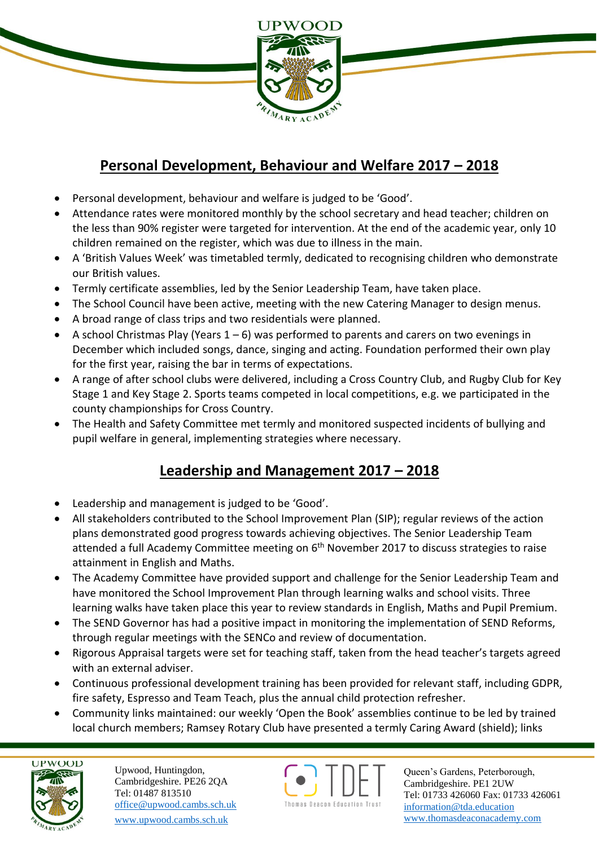

# **Personal Development, Behaviour and Welfare 2017 – 2018**

- Personal development, behaviour and welfare is judged to be 'Good'.
- Attendance rates were monitored monthly by the school secretary and head teacher; children on the less than 90% register were targeted for intervention. At the end of the academic year, only 10 children remained on the register, which was due to illness in the main.
- A 'British Values Week' was timetabled termly, dedicated to recognising children who demonstrate our British values.
- Termly certificate assemblies, led by the Senior Leadership Team, have taken place.
- The School Council have been active, meeting with the new Catering Manager to design menus.
- A broad range of class trips and two residentials were planned.
- A school Christmas Play (Years  $1 6$ ) was performed to parents and carers on two evenings in December which included songs, dance, singing and acting. Foundation performed their own play for the first year, raising the bar in terms of expectations.
- A range of after school clubs were delivered, including a Cross Country Club, and Rugby Club for Key Stage 1 and Key Stage 2. Sports teams competed in local competitions, e.g. we participated in the county championships for Cross Country.
- The Health and Safety Committee met termly and monitored suspected incidents of bullying and pupil welfare in general, implementing strategies where necessary.

# **Leadership and Management 2017 – 2018**

- Leadership and management is judged to be 'Good'.
- All stakeholders contributed to the School Improvement Plan (SIP); regular reviews of the action plans demonstrated good progress towards achieving objectives. The Senior Leadership Team attended a full Academy Committee meeting on 6<sup>th</sup> November 2017 to discuss strategies to raise attainment in English and Maths.
- The Academy Committee have provided support and challenge for the Senior Leadership Team and have monitored the School Improvement Plan through learning walks and school visits. Three learning walks have taken place this year to review standards in English, Maths and Pupil Premium.
- The SEND Governor has had a positive impact in monitoring the implementation of SEND Reforms, through regular meetings with the SENCo and review of documentation.
- Rigorous Appraisal targets were set for teaching staff, taken from the head teacher's targets agreed with an external adviser.
- Continuous professional development training has been provided for relevant staff, including GDPR, fire safety, Espresso and Team Teach, plus the annual child protection refresher.
- Community links maintained: our weekly 'Open the Book' assemblies continue to be led by trained local church members; Ramsey Rotary Club have presented a termly Caring Award (shield); links



Upwood, Huntingdon, Cambridgeshire. PE26 2QA Tel: 01487 813510 office@upwood.cambs.sch.uk [www.upwood.cambs.sch.uk](http://www.upwood.cambs.sch.uk/)



Queen's Gardens, Peterborough, Cambridgeshire. PE1 2UW Tel: 01733 426060 Fax: 01733 426061 [information@tda.education](mailto:information@tda.education) [www.thomasdeaconacademy.com](http://www.thomasdeaconacademy.com/)